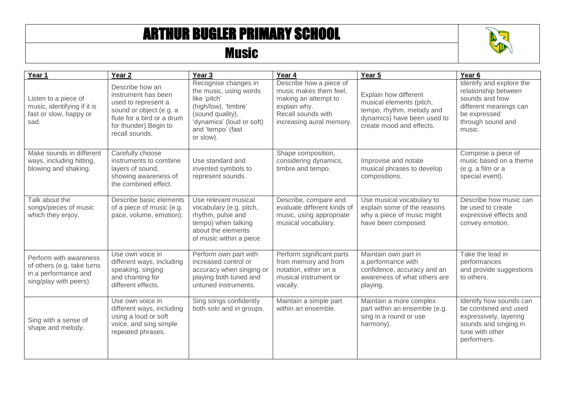## ARTHUR BUGLER PRIMARY SCHOOL

## Music



| Year 1                                                                                                 | Year <sub>2</sub>                                                                                                                                                  | Year <sub>3</sub>                                                                                                                                                         | Year 4                                                                                                                                      | Year 5                                                                                                                                    | Year <sub>6</sub>                                                                                                                           |
|--------------------------------------------------------------------------------------------------------|--------------------------------------------------------------------------------------------------------------------------------------------------------------------|---------------------------------------------------------------------------------------------------------------------------------------------------------------------------|---------------------------------------------------------------------------------------------------------------------------------------------|-------------------------------------------------------------------------------------------------------------------------------------------|---------------------------------------------------------------------------------------------------------------------------------------------|
| Listen to a piece of<br>music, identifying if it is<br>fast or slow, happy or<br>sad.                  | Describe how an<br>instrument has been<br>used to represent a<br>sound or object (e.g. a<br>flute for a bird or a drum<br>for thunder). Begin to<br>recall sounds. | Recognise changes in<br>the music, using words<br>like 'pitch'<br>(high/low), 'timbre'<br>(sound quality),<br>'dynamics' (loud or soft)<br>and 'tempo' (fast<br>or slow). | Describe how a piece of<br>music makes them feel,<br>making an attempt to<br>explain why.<br>Recall sounds with<br>increasing aural memory. | Explain how different<br>musical elements (pitch,<br>tempo, rhythm, melody and<br>dynamics) have been used to<br>create mood and effects. | Identify and explore the<br>relationship between<br>sounds and how<br>different meanings can<br>be expressed<br>through sound and<br>music. |
| Make sounds in different<br>ways, including hitting,<br>blowing and shaking.                           | Carefully choose<br>instruments to combine<br>layers of sound,<br>showing awareness of<br>the combined effect.                                                     | Use standard and<br>invented symbols to<br>represent sounds.                                                                                                              | Shape composition,<br>considering dynamics,<br>timbre and tempo.                                                                            | Improvise and notate<br>musical phrases to develop<br>compositions.                                                                       | Compose a piece of<br>music based on a theme<br>(e.g. a film or a<br>special event).                                                        |
| Talk about the<br>songs/pieces of music<br>which they enjoy.                                           | Describe basic elements<br>of a piece of music (e.g.<br>pace, volume, emotion).                                                                                    | Use relevant musical<br>vocabulary (e.g. pitch,<br>rhythm, pulse and<br>tempo) when talking<br>about the elements<br>of music within a piece.                             | Describe, compare and<br>evaluate different kinds of<br>music, using appropriate<br>musical vocabulary.                                     | Use musical vocabulary to<br>explain some of the reasons<br>why a piece of music might<br>have been composed.                             | Describe how music can<br>be used to create<br>expressive effects and<br>convey emotion.                                                    |
| Perform with awareness<br>of others (e.g. take turns<br>in a performance and<br>sing/play with peers). | Use own voice in<br>different ways, including<br>speaking, singing<br>and chanting for<br>different effects.                                                       | Perform own part with<br>increased control or<br>accuracy when singing or<br>playing both tuned and<br>untuned instruments.                                               | Perform significant parts<br>from memory and from<br>notation, either on a<br>musical instrument or<br>vocally.                             | Maintain own part in<br>a performance with<br>confidence, accuracy and an<br>awareness of what others are<br>playing.                     | Take the lead in<br>performances<br>and provide suggestions<br>to others.                                                                   |
| Sing with a sense of<br>shape and melody.                                                              | Use own voice in<br>different ways, including<br>using a loud or soft<br>voice, and sing simple<br>repeated phrases.                                               | Sing songs confidently<br>both solo and in groups.                                                                                                                        | Maintain a simple part<br>within an ensemble.                                                                                               | Maintain a more complex<br>part within an ensemble (e.g.<br>sing in a round or use<br>harmony).                                           | Identify how sounds can<br>be combined and used<br>expressively, layering<br>sounds and singing in<br>tune with other<br>performers.        |